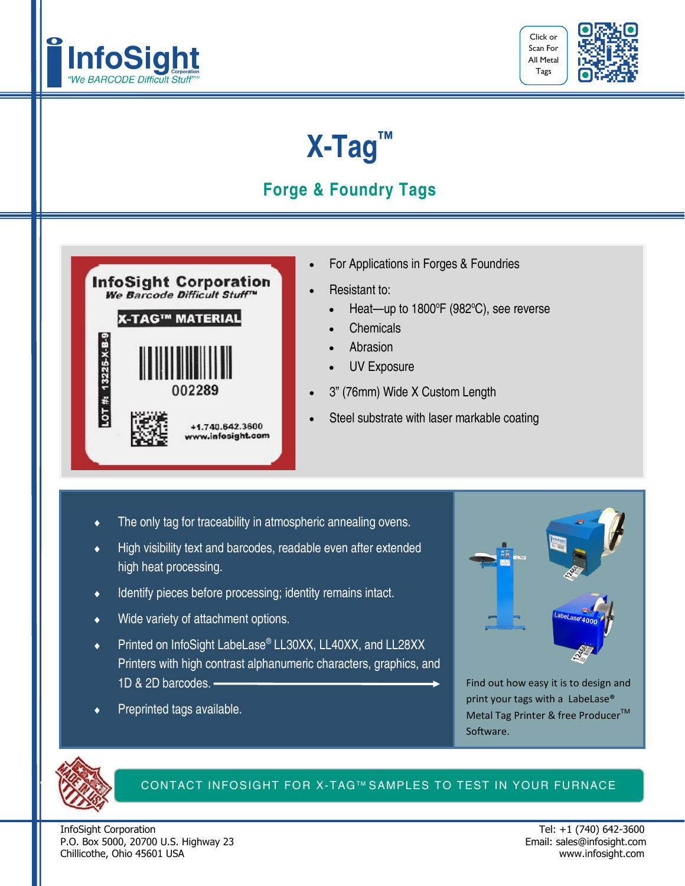



## **X-Tag™**

## **Forge & Foundry Tags**



- For Applications in Forges & Foundries
- Resistant to:
	- $\bullet$  Heat-up to 1800°F (982°C), see reverse
	- **Chemicals**
	- **Abrasion**
	- UV Exposure
- 3" (76mm) Wide X Custom Length
- Steel substrate with laser markable coating

- The only tag for traceability in atmospheric annealing ovens.
- High visibility text and barcodes, readable even after extended high heat processing.
- Identify pieces before processing; identity remains intact.
- Wide variety of attachment options.
- ◆ Printed on InfoSight LabeLase® LL30XX, LL40XX, and LL28XX Printers with high contrast alphanumeric characters, graphics, and 1D & 2D barcodes.
- Preprinted tags available.



Find out how easy it is to design and print your tags with a LabeLase® Metal Tag Printer & free Producer<sup>™</sup> Software.



#### CONTACT INFOSIGHT FOR X-TAG™ SAMPLES TO TEST IN YOUR FURNACE